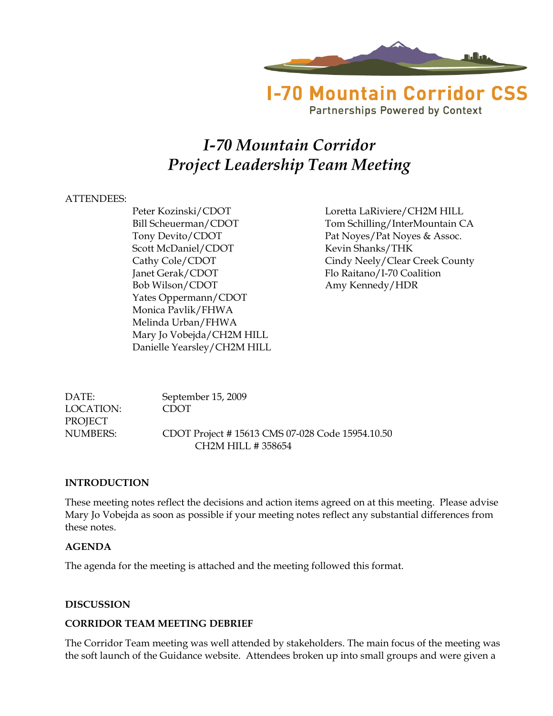

**Partnerships Powered by Context** 

# *I-70 Mountain Corridor Project Leadership Team Meeting*

# ATTENDEES:

Scott McDaniel/CDOT Kevin Shanks/THK Janet Gerak/CDOT Flo Raitano/I-70 Coalition Bob Wilson/CDOT Amy Kennedy/HDR Yates Oppermann/CDOT Monica Pavlik/FHWA Melinda Urban/FHWA Mary Jo Vobejda/CH2M HILL Danielle Yearsley/CH2M HILL

Peter Kozinski/CDOT Loretta LaRiviere/CH2M HILL Bill Scheuerman/CDOT Tom Schilling/InterMountain CA Tony Devito/CDOT Pat Noyes/Pat Noyes & Assoc. Cathy Cole/CDOT Cindy Neely/Clear Creek County

DATE: September 15, 2009 LOCATION: CDOT PROJECT NUMBERS: CDOT Project # 15613 CMS 07-028 Code 15954.10.50 CH2M HILL # 358654

# **INTRODUCTION**

These meeting notes reflect the decisions and action items agreed on at this meeting. Please advise Mary Jo Vobejda as soon as possible if your meeting notes reflect any substantial differences from these notes.

# **AGENDA**

The agenda for the meeting is attached and the meeting followed this format.

# **DISCUSSION**

# **CORRIDOR TEAM MEETING DEBRIEF**

The Corridor Team meeting was well attended by stakeholders. The main focus of the meeting was the soft launch of the Guidance website. Attendees broken up into small groups and were given a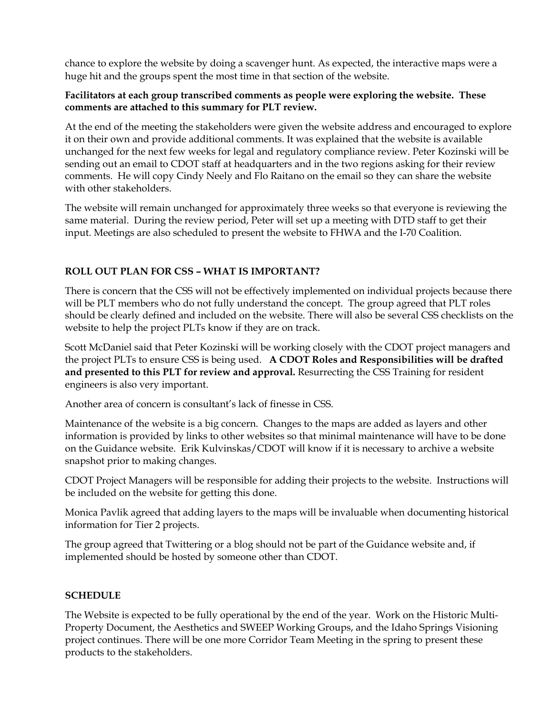chance to explore the website by doing a scavenger hunt. As expected, the interactive maps were a huge hit and the groups spent the most time in that section of the website.

# **Facilitators at each group transcribed comments as people were exploring the website. These comments are attached to this summary for PLT review.**

At the end of the meeting the stakeholders were given the website address and encouraged to explore it on their own and provide additional comments. It was explained that the website is available unchanged for the next few weeks for legal and regulatory compliance review. Peter Kozinski will be sending out an email to CDOT staff at headquarters and in the two regions asking for their review comments. He will copy Cindy Neely and Flo Raitano on the email so they can share the website with other stakeholders.

The website will remain unchanged for approximately three weeks so that everyone is reviewing the same material. During the review period, Peter will set up a meeting with DTD staff to get their input. Meetings are also scheduled to present the website to FHWA and the I-70 Coalition.

# **ROLL OUT PLAN FOR CSS – WHAT IS IMPORTANT?**

There is concern that the CSS will not be effectively implemented on individual projects because there will be PLT members who do not fully understand the concept. The group agreed that PLT roles should be clearly defined and included on the website. There will also be several CSS checklists on the website to help the project PLTs know if they are on track.

Scott McDaniel said that Peter Kozinski will be working closely with the CDOT project managers and the project PLTs to ensure CSS is being used. **A CDOT Roles and Responsibilities will be drafted and presented to this PLT for review and approval.** Resurrecting the CSS Training for resident engineers is also very important.

Another area of concern is consultant's lack of finesse in CSS.

Maintenance of the website is a big concern. Changes to the maps are added as layers and other information is provided by links to other websites so that minimal maintenance will have to be done on the Guidance website. Erik Kulvinskas/CDOT will know if it is necessary to archive a website snapshot prior to making changes.

CDOT Project Managers will be responsible for adding their projects to the website. Instructions will be included on the website for getting this done.

Monica Pavlik agreed that adding layers to the maps will be invaluable when documenting historical information for Tier 2 projects.

The group agreed that Twittering or a blog should not be part of the Guidance website and, if implemented should be hosted by someone other than CDOT.

# **SCHEDULE**

The Website is expected to be fully operational by the end of the year. Work on the Historic Multi-Property Document, the Aesthetics and SWEEP Working Groups, and the Idaho Springs Visioning project continues. There will be one more Corridor Team Meeting in the spring to present these products to the stakeholders.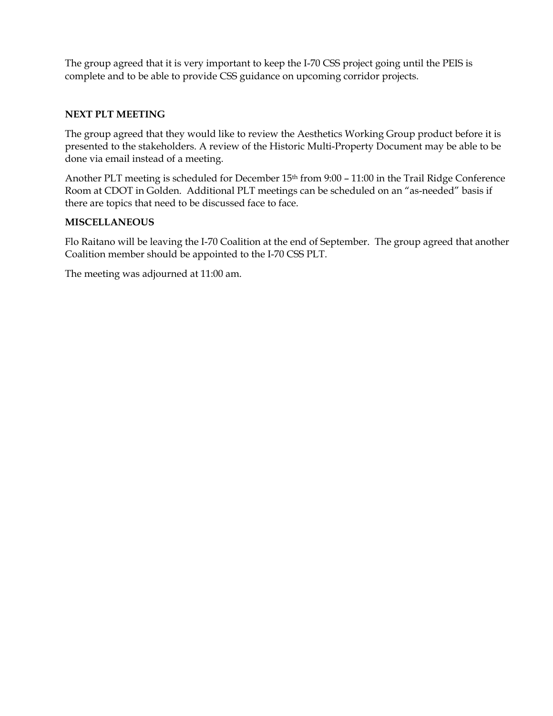The group agreed that it is very important to keep the I-70 CSS project going until the PEIS is complete and to be able to provide CSS guidance on upcoming corridor projects.

# **NEXT PLT MEETING**

The group agreed that they would like to review the Aesthetics Working Group product before it is presented to the stakeholders. A review of the Historic Multi-Property Document may be able to be done via email instead of a meeting.

Another PLT meeting is scheduled for December 15<sup>th</sup> from 9:00 - 11:00 in the Trail Ridge Conference Room at CDOT in Golden. Additional PLT meetings can be scheduled on an "as-needed" basis if there are topics that need to be discussed face to face.

# **MISCELLANEOUS**

Flo Raitano will be leaving the I-70 Coalition at the end of September. The group agreed that another Coalition member should be appointed to the I-70 CSS PLT.

The meeting was adjourned at 11:00 am.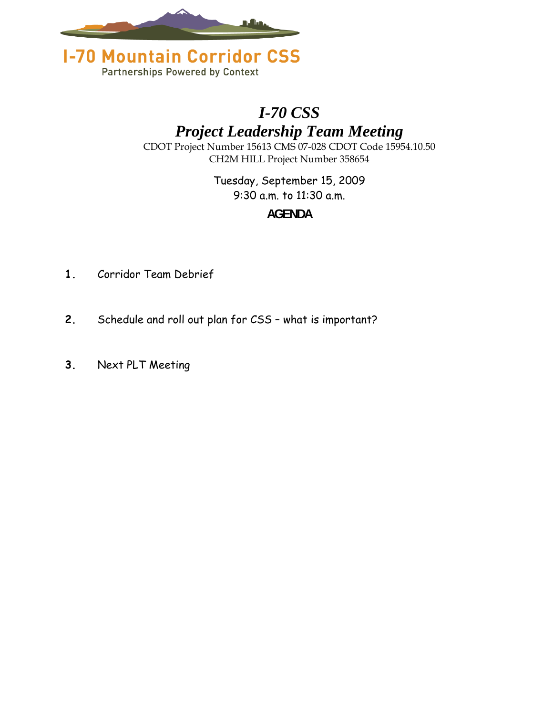



# *I-70 CSS*

*Project Leadership Team Meeting* 

CDOT Project Number 15613 CMS 07-028 CDOT Code 15954.10.50 CH2M HILL Project Number 358654

> Tuesday, September 15, 2009 9:30 a.m. to 11:30 a.m.

# **AGENDA**

- **1.** Corridor Team Debrief
- **2.** Schedule and roll out plan for CSS what is important?
- **3.** Next PLT Meeting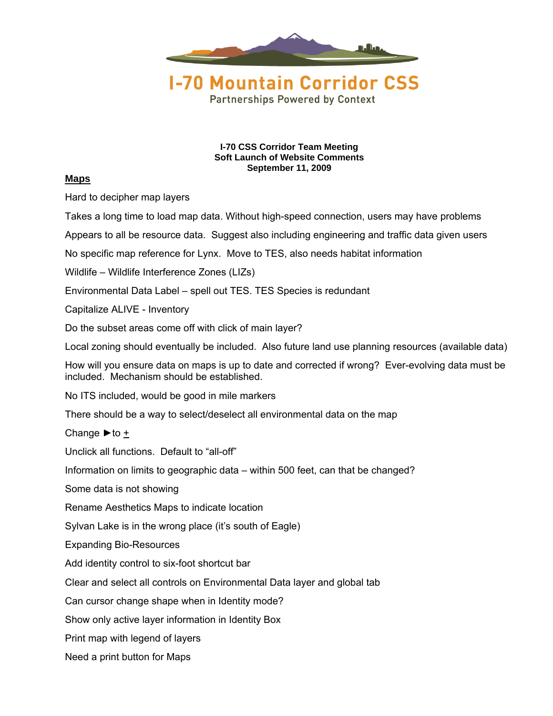

**I-70 CSS Corridor Team Meeting Soft Launch of Website Comments September 11, 2009** 

#### **Maps**

Hard to decipher map layers

Takes a long time to load map data. Without high-speed connection, users may have problems

Appears to all be resource data. Suggest also including engineering and traffic data given users

No specific map reference for Lynx. Move to TES, also needs habitat information

Wildlife – Wildlife Interference Zones (LIZs)

Environmental Data Label – spell out TES. TES Species is redundant

Capitalize ALIVE - Inventory

Do the subset areas come off with click of main layer?

Local zoning should eventually be included. Also future land use planning resources (available data)

How will you ensure data on maps is up to date and corrected if wrong? Ever-evolving data must be included. Mechanism should be established.

No ITS included, would be good in mile markers

There should be a way to select/deselect all environmental data on the map

Change  $\blacktriangleright$  to +

Unclick all functions. Default to "all-off"

Information on limits to geographic data – within 500 feet, can that be changed?

Some data is not showing

Rename Aesthetics Maps to indicate location

Sylvan Lake is in the wrong place (it's south of Eagle)

Expanding Bio-Resources

Add identity control to six-foot shortcut bar

Clear and select all controls on Environmental Data layer and global tab

Can cursor change shape when in Identity mode?

Show only active layer information in Identity Box

Print map with legend of layers

Need a print button for Maps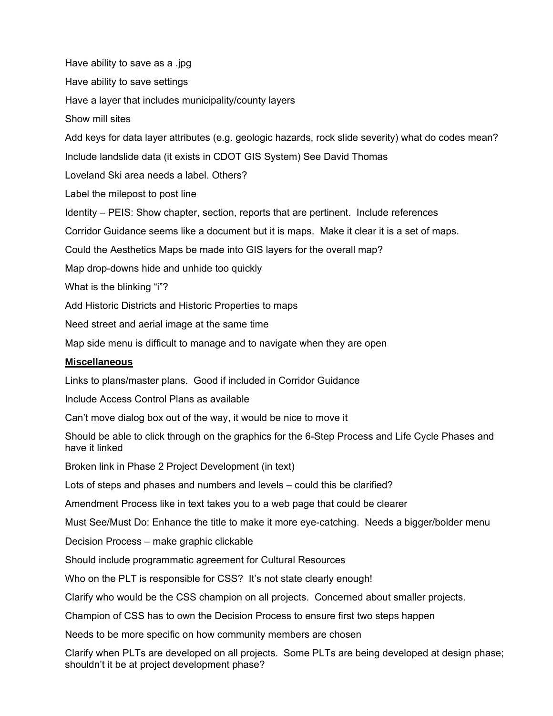Have ability to save as a .jpg Have ability to save settings Have a layer that includes municipality/county layers Show mill sites Add keys for data layer attributes (e.g. geologic hazards, rock slide severity) what do codes mean? Include landslide data (it exists in CDOT GIS System) See David Thomas Loveland Ski area needs a label. Others? Label the milepost to post line Identity – PEIS: Show chapter, section, reports that are pertinent. Include references Corridor Guidance seems like a document but it is maps. Make it clear it is a set of maps. Could the Aesthetics Maps be made into GIS layers for the overall map? Map drop-downs hide and unhide too quickly What is the blinking "i"? Add Historic Districts and Historic Properties to maps Need street and aerial image at the same time Map side menu is difficult to manage and to navigate when they are open **Miscellaneous** Links to plans/master plans. Good if included in Corridor Guidance Include Access Control Plans as available Can't move dialog box out of the way, it would be nice to move it Should be able to click through on the graphics for the 6-Step Process and Life Cycle Phases and have it linked Broken link in Phase 2 Project Development (in text) Lots of steps and phases and numbers and levels – could this be clarified? Amendment Process like in text takes you to a web page that could be clearer Must See/Must Do: Enhance the title to make it more eye-catching. Needs a bigger/bolder menu Decision Process – make graphic clickable Should include programmatic agreement for Cultural Resources Who on the PLT is responsible for CSS? It's not state clearly enough! Clarify who would be the CSS champion on all projects. Concerned about smaller projects. Champion of CSS has to own the Decision Process to ensure first two steps happen Needs to be more specific on how community members are chosen Clarify when PLTs are developed on all projects. Some PLTs are being developed at design phase;

shouldn't it be at project development phase?